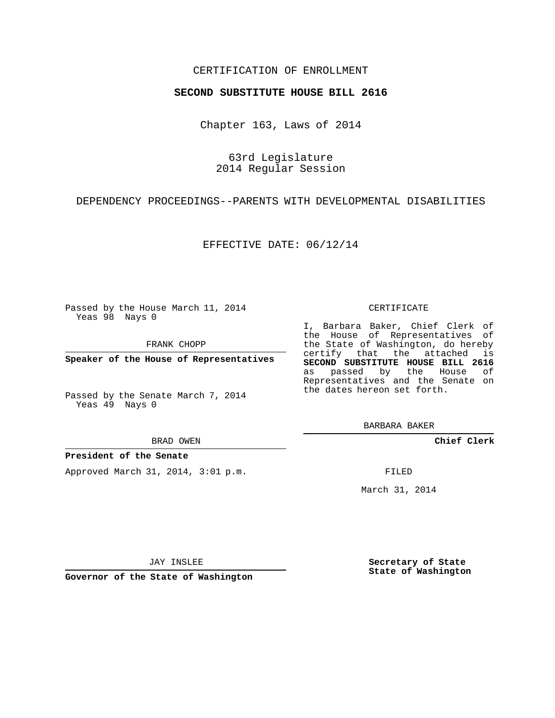## CERTIFICATION OF ENROLLMENT

### **SECOND SUBSTITUTE HOUSE BILL 2616**

Chapter 163, Laws of 2014

63rd Legislature 2014 Regular Session

DEPENDENCY PROCEEDINGS--PARENTS WITH DEVELOPMENTAL DISABILITIES

EFFECTIVE DATE: 06/12/14

Passed by the House March 11, 2014 Yeas 98 Nays 0

FRANK CHOPP

**Speaker of the House of Representatives**

Passed by the Senate March 7, 2014 Yeas 49 Nays 0

BRAD OWEN

### **President of the Senate**

Approved March 31, 2014, 3:01 p.m.

#### CERTIFICATE

I, Barbara Baker, Chief Clerk of the House of Representatives of the State of Washington, do hereby certify that the attached is **SECOND SUBSTITUTE HOUSE BILL 2616** as passed by the House of Representatives and the Senate on the dates hereon set forth.

BARBARA BAKER

**Chief Clerk**

FILED

March 31, 2014

JAY INSLEE

**Governor of the State of Washington**

**Secretary of State State of Washington**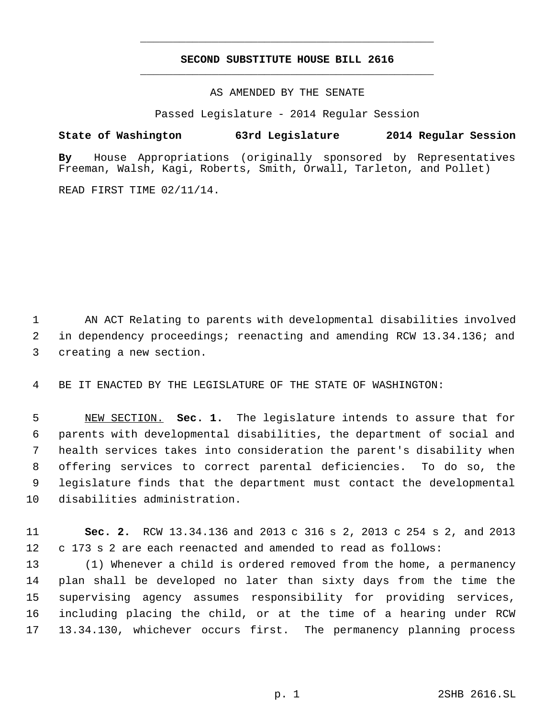# **SECOND SUBSTITUTE HOUSE BILL 2616** \_\_\_\_\_\_\_\_\_\_\_\_\_\_\_\_\_\_\_\_\_\_\_\_\_\_\_\_\_\_\_\_\_\_\_\_\_\_\_\_\_\_\_\_\_

\_\_\_\_\_\_\_\_\_\_\_\_\_\_\_\_\_\_\_\_\_\_\_\_\_\_\_\_\_\_\_\_\_\_\_\_\_\_\_\_\_\_\_\_\_

AS AMENDED BY THE SENATE

Passed Legislature - 2014 Regular Session

## **State of Washington 63rd Legislature 2014 Regular Session**

**By** House Appropriations (originally sponsored by Representatives Freeman, Walsh, Kagi, Roberts, Smith, Orwall, Tarleton, and Pollet)

READ FIRST TIME 02/11/14.

 AN ACT Relating to parents with developmental disabilities involved in dependency proceedings; reenacting and amending RCW 13.34.136; and creating a new section.

BE IT ENACTED BY THE LEGISLATURE OF THE STATE OF WASHINGTON:

 NEW SECTION. **Sec. 1.** The legislature intends to assure that for parents with developmental disabilities, the department of social and health services takes into consideration the parent's disability when offering services to correct parental deficiencies. To do so, the legislature finds that the department must contact the developmental disabilities administration.

 **Sec. 2.** RCW 13.34.136 and 2013 c 316 s 2, 2013 c 254 s 2, and 2013 c 173 s 2 are each reenacted and amended to read as follows:

 (1) Whenever a child is ordered removed from the home, a permanency plan shall be developed no later than sixty days from the time the supervising agency assumes responsibility for providing services, including placing the child, or at the time of a hearing under RCW 13.34.130, whichever occurs first. The permanency planning process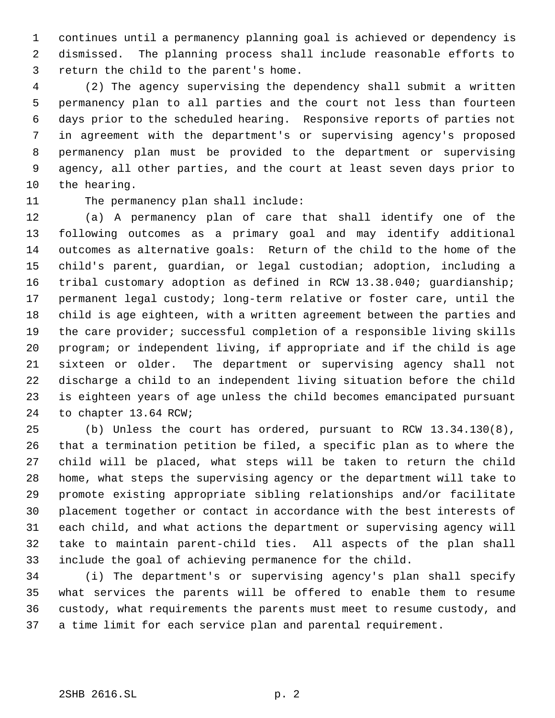continues until a permanency planning goal is achieved or dependency is dismissed. The planning process shall include reasonable efforts to return the child to the parent's home.

 (2) The agency supervising the dependency shall submit a written permanency plan to all parties and the court not less than fourteen days prior to the scheduled hearing. Responsive reports of parties not in agreement with the department's or supervising agency's proposed permanency plan must be provided to the department or supervising agency, all other parties, and the court at least seven days prior to the hearing.

# 11 The permanency plan shall include:

 (a) A permanency plan of care that shall identify one of the following outcomes as a primary goal and may identify additional outcomes as alternative goals: Return of the child to the home of the child's parent, guardian, or legal custodian; adoption, including a tribal customary adoption as defined in RCW 13.38.040; guardianship; permanent legal custody; long-term relative or foster care, until the child is age eighteen, with a written agreement between the parties and the care provider; successful completion of a responsible living skills program; or independent living, if appropriate and if the child is age sixteen or older. The department or supervising agency shall not discharge a child to an independent living situation before the child is eighteen years of age unless the child becomes emancipated pursuant to chapter 13.64 RCW;

 (b) Unless the court has ordered, pursuant to RCW 13.34.130(8), that a termination petition be filed, a specific plan as to where the child will be placed, what steps will be taken to return the child home, what steps the supervising agency or the department will take to promote existing appropriate sibling relationships and/or facilitate placement together or contact in accordance with the best interests of each child, and what actions the department or supervising agency will take to maintain parent-child ties. All aspects of the plan shall include the goal of achieving permanence for the child.

 (i) The department's or supervising agency's plan shall specify what services the parents will be offered to enable them to resume custody, what requirements the parents must meet to resume custody, and a time limit for each service plan and parental requirement.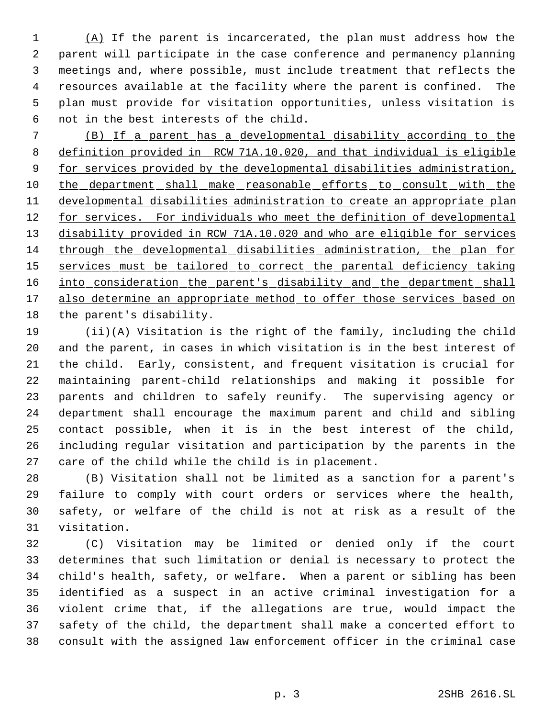(A) If the parent is incarcerated, the plan must address how the parent will participate in the case conference and permanency planning meetings and, where possible, must include treatment that reflects the resources available at the facility where the parent is confined. The plan must provide for visitation opportunities, unless visitation is not in the best interests of the child.

 (B) If a parent has a developmental disability according to the definition provided in RCW 71A.10.020, and that individual is eligible 9 for services provided by the developmental disabilities administration, 10 the department shall make reasonable efforts to consult with the developmental disabilities administration to create an appropriate plan 12 for services. For individuals who meet the definition of developmental disability provided in RCW 71A.10.020 and who are eligible for services through the developmental disabilities administration, the plan for 15 services must be tailored to correct the parental deficiency taking 16 into consideration the parent's disability and the department shall 17 also determine an appropriate method to offer those services based on the parent's disability.

 (ii)(A) Visitation is the right of the family, including the child and the parent, in cases in which visitation is in the best interest of the child. Early, consistent, and frequent visitation is crucial for maintaining parent-child relationships and making it possible for parents and children to safely reunify. The supervising agency or department shall encourage the maximum parent and child and sibling contact possible, when it is in the best interest of the child, including regular visitation and participation by the parents in the care of the child while the child is in placement.

 (B) Visitation shall not be limited as a sanction for a parent's failure to comply with court orders or services where the health, safety, or welfare of the child is not at risk as a result of the visitation.

 (C) Visitation may be limited or denied only if the court determines that such limitation or denial is necessary to protect the child's health, safety, or welfare. When a parent or sibling has been identified as a suspect in an active criminal investigation for a violent crime that, if the allegations are true, would impact the safety of the child, the department shall make a concerted effort to consult with the assigned law enforcement officer in the criminal case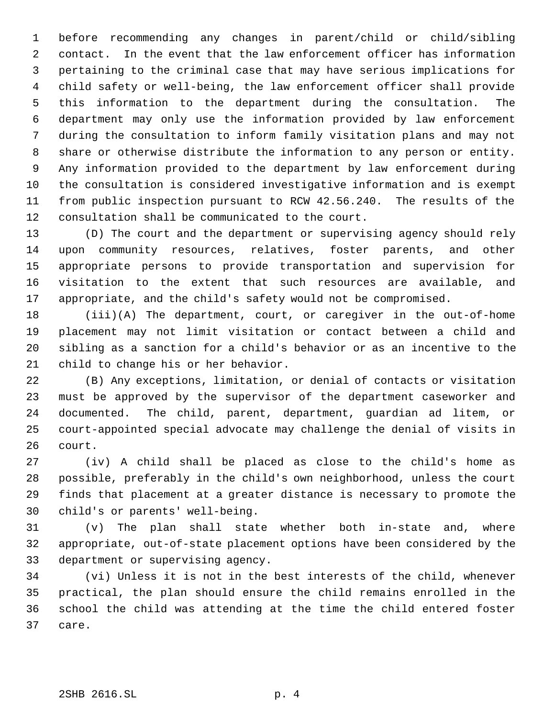before recommending any changes in parent/child or child/sibling contact. In the event that the law enforcement officer has information pertaining to the criminal case that may have serious implications for child safety or well-being, the law enforcement officer shall provide this information to the department during the consultation. The department may only use the information provided by law enforcement during the consultation to inform family visitation plans and may not share or otherwise distribute the information to any person or entity. Any information provided to the department by law enforcement during the consultation is considered investigative information and is exempt from public inspection pursuant to RCW 42.56.240. The results of the consultation shall be communicated to the court.

 (D) The court and the department or supervising agency should rely upon community resources, relatives, foster parents, and other appropriate persons to provide transportation and supervision for visitation to the extent that such resources are available, and appropriate, and the child's safety would not be compromised.

 (iii)(A) The department, court, or caregiver in the out-of-home placement may not limit visitation or contact between a child and sibling as a sanction for a child's behavior or as an incentive to the child to change his or her behavior.

 (B) Any exceptions, limitation, or denial of contacts or visitation must be approved by the supervisor of the department caseworker and documented. The child, parent, department, guardian ad litem, or court-appointed special advocate may challenge the denial of visits in court.

 (iv) A child shall be placed as close to the child's home as possible, preferably in the child's own neighborhood, unless the court finds that placement at a greater distance is necessary to promote the child's or parents' well-being.

 (v) The plan shall state whether both in-state and, where appropriate, out-of-state placement options have been considered by the department or supervising agency.

 (vi) Unless it is not in the best interests of the child, whenever practical, the plan should ensure the child remains enrolled in the school the child was attending at the time the child entered foster care.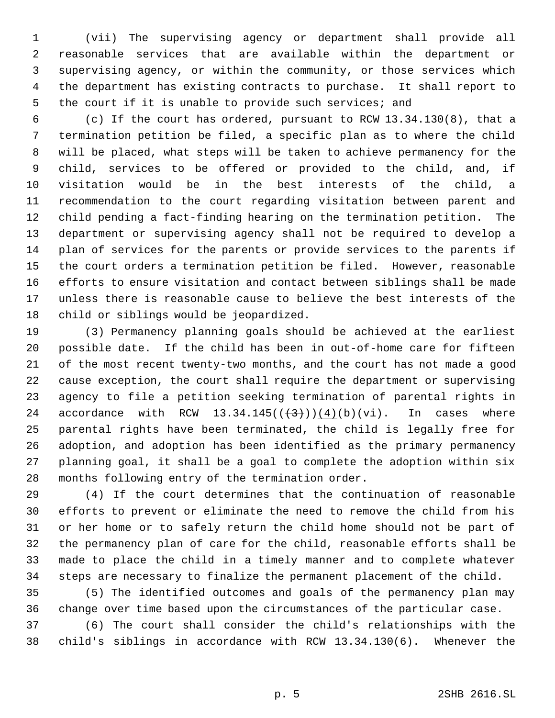(vii) The supervising agency or department shall provide all reasonable services that are available within the department or supervising agency, or within the community, or those services which the department has existing contracts to purchase. It shall report to 5 the court if it is unable to provide such services; and

 (c) If the court has ordered, pursuant to RCW 13.34.130(8), that a termination petition be filed, a specific plan as to where the child will be placed, what steps will be taken to achieve permanency for the child, services to be offered or provided to the child, and, if visitation would be in the best interests of the child, a recommendation to the court regarding visitation between parent and child pending a fact-finding hearing on the termination petition. The department or supervising agency shall not be required to develop a plan of services for the parents or provide services to the parents if the court orders a termination petition be filed. However, reasonable efforts to ensure visitation and contact between siblings shall be made unless there is reasonable cause to believe the best interests of the child or siblings would be jeopardized.

 (3) Permanency planning goals should be achieved at the earliest possible date. If the child has been in out-of-home care for fifteen of the most recent twenty-two months, and the court has not made a good cause exception, the court shall require the department or supervising agency to file a petition seeking termination of parental rights in 24 accordance with RCW  $13.34.145((\leftarrow{3}))(\leftarrow{4})(b)(vi)$ . In cases where parental rights have been terminated, the child is legally free for adoption, and adoption has been identified as the primary permanency planning goal, it shall be a goal to complete the adoption within six months following entry of the termination order.

 (4) If the court determines that the continuation of reasonable efforts to prevent or eliminate the need to remove the child from his or her home or to safely return the child home should not be part of the permanency plan of care for the child, reasonable efforts shall be made to place the child in a timely manner and to complete whatever steps are necessary to finalize the permanent placement of the child.

 (5) The identified outcomes and goals of the permanency plan may change over time based upon the circumstances of the particular case.

 (6) The court shall consider the child's relationships with the child's siblings in accordance with RCW 13.34.130(6). Whenever the